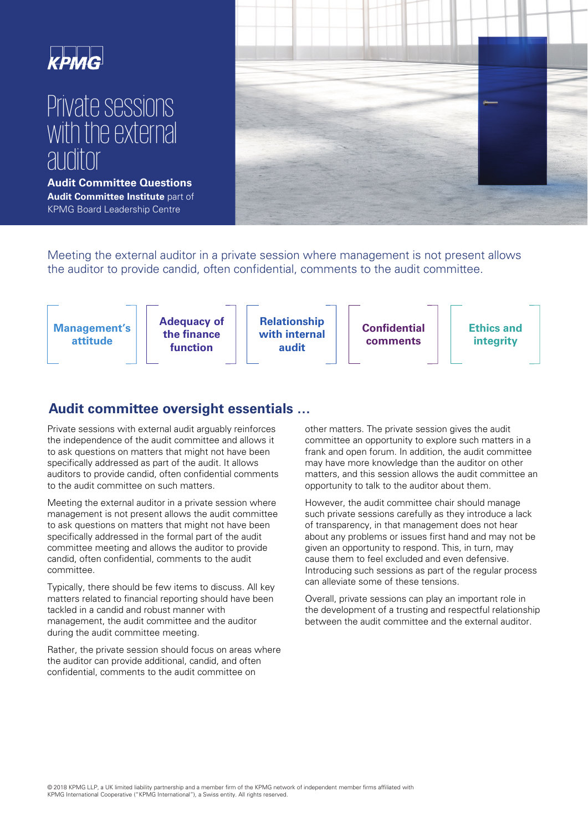

# Private sessions with the external auditor

**Audit Committee Questions Audit Committee Institute** part of KPMG Board Leadership Centre



Meeting the external auditor in a private session where management is not present allows the auditor to provide candid, often confidential, comments to the audit committee.



# **Audit committee oversight essentials …**

Private sessions with external audit arguably reinforces the independence of the audit committee and allows it to ask questions on matters that might not have been specifically addressed as part of the audit. It allows auditors to provide candid, often confidential comments to the audit committee on such matters.

Meeting the external auditor in a private session where management is not present allows the audit committee to ask questions on matters that might not have been specifically addressed in the formal part of the audit committee meeting and allows the auditor to provide candid, often confidential, comments to the audit committee.

Typically, there should be few items to discuss. All key matters related to financial reporting should have been tackled in a candid and robust manner with management, the audit committee and the auditor during the audit committee meeting.

Rather, the private session should focus on areas where the auditor can provide additional, candid, and often confidential, comments to the audit committee on

other matters. The private session gives the audit committee an opportunity to explore such matters in a frank and open forum. In addition, the audit committee may have more knowledge than the auditor on other matters, and this session allows the audit committee an opportunity to talk to the auditor about them.

However, the audit committee chair should manage such private sessions carefully as they introduce a lack of transparency, in that management does not hear about any problems or issues first hand and may not be given an opportunity to respond. This, in turn, may cause them to feel excluded and even defensive. Introducing such sessions as part of the regular process can alleviate some of these tensions.

Overall, private sessions can play an important role in the development of a trusting and respectful relationship between the audit committee and the external auditor.